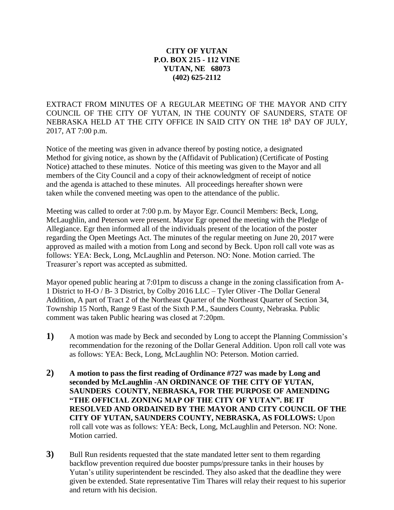## **CITY OF YUTAN P.O. BOX 215 - 112 VINE YUTAN, NE 68073 (402) 625-2112**

EXTRACT FROM MINUTES OF A REGULAR MEETING OF THE MAYOR AND CITY COUNCIL OF THE CITY OF YUTAN, IN THE COUNTY OF SAUNDERS, STATE OF NEBRASKA HELD AT THE CITY OFFICE IN SAID CITY ON THE 18<sup>h</sup> DAY OF JULY, 2017, AT 7:00 p.m.

Notice of the meeting was given in advance thereof by posting notice, a designated Method for giving notice, as shown by the (Affidavit of Publication) (Certificate of Posting Notice) attached to these minutes. Notice of this meeting was given to the Mayor and all members of the City Council and a copy of their acknowledgment of receipt of notice and the agenda is attached to these minutes. All proceedings hereafter shown were taken while the convened meeting was open to the attendance of the public.

Meeting was called to order at 7:00 p.m. by Mayor Egr. Council Members: Beck, Long, McLaughlin, and Peterson were present. Mayor Egr opened the meeting with the Pledge of Allegiance. Egr then informed all of the individuals present of the location of the poster regarding the Open Meetings Act. The minutes of the regular meeting on June 20, 2017 were approved as mailed with a motion from Long and second by Beck. Upon roll call vote was as follows: YEA: Beck, Long, McLaughlin and Peterson. NO: None. Motion carried. The Treasurer's report was accepted as submitted.

Mayor opened public hearing at 7:01pm to discuss a change in the zoning classification from A-1 District to H-O / B- 3 District, by Colby 2016 LLC – Tyler Oliver -The Dollar General Addition, A part of Tract 2 of the Northeast Quarter of the Northeast Quarter of Section 34, Township 15 North, Range 9 East of the Sixth P.M., Saunders County, Nebraska. Public comment was taken Public hearing was closed at 7:20pm.

- **1)** A motion was made by Beck and seconded by Long to accept the Planning Commission's recommendation for the rezoning of the Dollar General Addition. Upon roll call vote was as follows: YEA: Beck, Long, McLaughlin NO: Peterson. Motion carried.
- **2) A motion to pass the first reading of Ordinance #727 was made by Long and seconded by McLaughlin -AN ORDINANCE OF THE CITY OF YUTAN, SAUNDERS COUNTY, NEBRASKA, FOR THE PURPOSE OF AMENDING "THE OFFICIAL ZONING MAP OF THE CITY OF YUTAN". BE IT RESOLVED AND ORDAINED BY THE MAYOR AND CITY COUNCIL OF THE CITY OF YUTAN, SAUNDERS COUNTY, NEBRASKA, AS FOLLOWS:** Upon roll call vote was as follows: YEA: Beck, Long, McLaughlin and Peterson. NO: None. Motion carried.
- **3**) Bull Run residents requested that the state mandated letter sent to them regarding backflow prevention required due booster pumps/pressure tanks in their houses by Yutan's utility superintendent be rescinded. They also asked that the deadline they were given be extended. State representative Tim Thares will relay their request to his superior and return with his decision.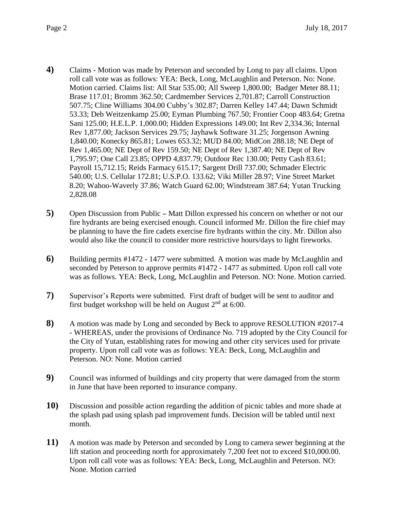- **4)** Claims Motion was made by Peterson and seconded by Long to pay all claims. Upon roll call vote was as follows: YEA: Beck, Long, McLaughlin and Peterson. No: None. Motion carried. Claims list: All Star 535.00; All Sweep 1,800.00; Badger Meter 88.11; Brase 117.01; Bromm 362.50; Cardmember Services 2,701.87; Carroll Construction 507.75; Cline Williams 304.00 Cubby's 302.87; Darren Kelley 147.44; Dawn Schmidt 53.33; Deb Weitzenkamp 25.00; Eyman Plumbing 767.50; Frontier Coop 483.64; Gretna Sani 125.00; H.E.L.P. 1,000.00; Hidden Expressions 149.00; Int Rev 2,334.36; Internal Rev 1,877.00; Jackson Services 29.75; Jayhawk Software 31.25; Jorgenson Awning 1,840.00; Konecky 865.81; Lowes 653.32; MUD 84.00; MidCon 288.18; NE Dept of Rev 1,465.00; NE Dept of Rev 159.50; NE Dept of Rev 1,387.40; NE Dept of Rev 1,795.97; One Call 23.85; OPPD 4,837.79; Outdoor Rec 130.00; Petty Cash 83.61; Payroll 15,712.15; Reids Farmacy 615.17; Sargent Drill 737.00; Schmader Electric 540.00; U.S. Cellular 172.81; U.S.P.O. 133.62; Viki Miller 28.97; Vine Street Market 8.20; Wahoo-Waverly 37.86; Watch Guard 62.00; Windstream 387.64; Yutan Trucking 2,828.08
- **5)** Open Discussion from Public **–** Matt Dillon expressed his concern on whether or not our fire hydrants are being exercised enough. Council informed Mr. Dillon the fire chief may be planning to have the fire cadets exercise fire hydrants within the city. Mr. Dillon also would also like the council to consider more restrictive hours/days to light fireworks.
- **6)** Building permits #1472 1477 were submitted. A motion was made by McLaughlin and seconded by Peterson to approve permits #1472 - 1477 as submitted. Upon roll call vote was as follows. YEA: Beck, Long, McLaughlin and Peterson. NO: None. Motion carried.
- **7)** Supervisor's Reports were submitted. First draft of budget will be sent to auditor and first budget workshop will be held on August 2nd at 6:00.
- **8)** A motion was made by Long and seconded by Beck to approve RESOLUTION #2017-4 - WHEREAS, under the provisions of Ordinance No. 719 adopted by the City Council for the City of Yutan, establishing rates for mowing and other city services used for private property. Upon roll call vote was as follows: YEA: Beck, Long, McLaughlin and Peterson. NO: None. Motion carried
- **9)** Council was informed of buildings and city property that were damaged from the storm in June that have been reported to insurance company.
- **10)** Discussion and possible action regarding the addition of picnic tables and more shade at the splash pad using splash pad improvement funds. Decision will be tabled until next month.
- **11)** A motion was made by Peterson and seconded by Long to camera sewer beginning at the lift station and proceeding north for approximately 7,200 feet not to exceed \$10,000.00. Upon roll call vote was as follows: YEA: Beck, Long, McLaughlin and Peterson. NO: None. Motion carried